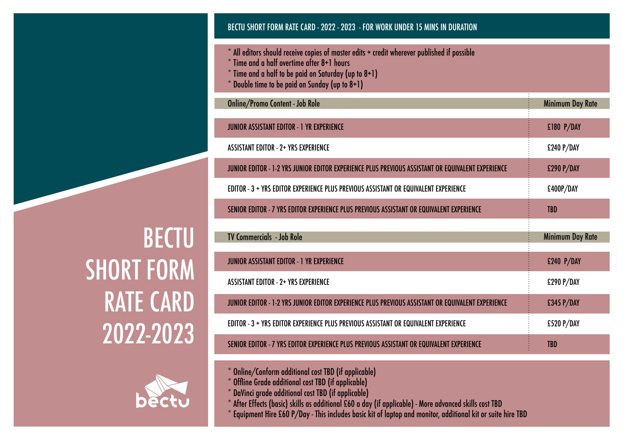# BECTU SHORT FORM RATE CARD - 2022 - 2023 - FOR WORK UNDER 15 MINS IN DURATION

- \* All editors should receive copies of master edits + credit wherever published if possible
- $*$  Time and a half overtime after 8+1 hours
- $*$  Time and a half to be paid on Saturday (up to  $8+1$ )
- $*$  Double time to be paid on Sunday (up to  $8+1$ )

| <b>Online/Promo Content - Job Role</b>                                                            | <b>Minimum Day Rate</b> |
|---------------------------------------------------------------------------------------------------|-------------------------|
| <b>JUNIOR ASSISTANT EDITOR - 1 YR EXPERIENCE</b>                                                  | £180 P/DAY              |
| <b>ASSISTANT EDITOR - 2+ YRS EXPERIENCE</b>                                                       | £240 P/DAY              |
| JUNIOR EDITOR - 1-2 YRS JUNIOR EDITOR EXPERIENCE PLUS PREVIOUS ASSISTANT OR EQUIVALENT EXPERIENCE | £290 P/DAY              |
| EDITOR - 3 + YRS EDITOR EXPERIENCE PLUS PREVIOUS ASSISTANT OR EQUIVALENT EXPERIENCE               | £400P/DAY               |
| SENIOR EDITOR - 7 YRS EDITOR EXPERIENCE PLUS PREVIOUS ASSISTANT OR EQUIVALENT EXPERIENCE          | <b>TBD</b>              |
|                                                                                                   |                         |
| <b>TV Commercials - Job Role</b>                                                                  | <b>Minimum Day Rate</b> |
| <b>JUNIOR ASSISTANT EDITOR - 1 YR EXPERIENCE</b>                                                  | £240 P/DAY              |
| <b>ASSISTANT EDITOR - 2+ YRS EXPERIENCE</b>                                                       | £290 P/DAY              |
| JUNIOR EDITOR - 1-2 YRS JUNIOR EDITOR EXPERIENCE PLUS PREVIOUS ASSISTANT OR EQUIVALENT EXPERIENCE | £345 P/DAY              |
| EDITOR - 3 + YRS EDITOR EXPERIENCE PLUS PREVIOUS ASSISTANT OR EQUIVALENT EXPERIENCE               | £520 P/DAY              |

 $\overline{\cdot}$ 

- \* Online/Conform additional cost TBD (if applicable)
- \* Offline Grade additional cost TBD (if applicable)
- \* DaVinci grade additional cost TBD (if applicable)
- $*$  After Effects (basic) skills as additional £60 a day (if applicable) More advanced skills cost TBD
- \* Equipment Hire £60 P/Day This includes basic kit of laptop and monitor, additional kit or suite hire TBD

**BECTU** SHORT FORM RATE CARD 2022-2023